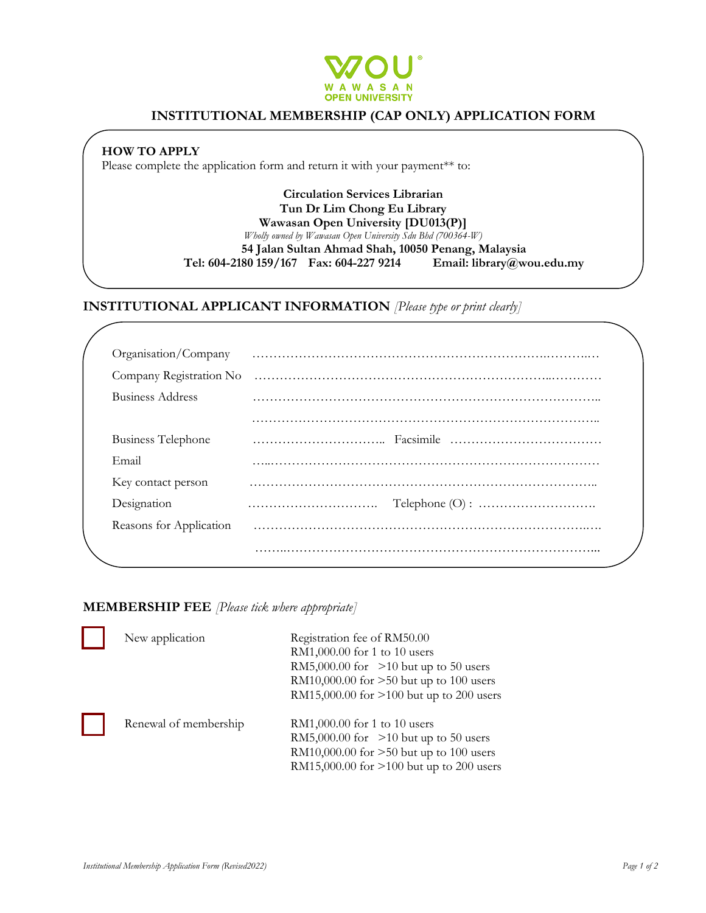

## **INSTITUTIONAL MEMBERSHIP (CAP ONLY) APPLICATION FORM**

**HOW TO APPLY**

Please complete the application form and return it with your payment<sup>\*\*</sup> to:

**Circulation Services Librarian Tun Dr Lim Chong Eu Library Wawasan Open University [DU013(P)]** *Wholly owned by Wawasan Open University Sdn Bhd (700364-W)* **54 Jalan Sultan Ahmad Shah, 10050 Penang, Malaysia Tel: 604-2180 159/167 Fax: 604-227 9214 Email: library@wou.edu.my**

**INSTITUTIONAL APPLICANT INFORMATION** *[Please type or print clearly]*

| Organisation/Company      |  |
|---------------------------|--|
| Company Registration No   |  |
| Business Address          |  |
|                           |  |
| <b>Business Telephone</b> |  |
| Email                     |  |
| Key contact person        |  |
| Designation               |  |
| Reasons for Application   |  |
|                           |  |

**MEMBERSHIP FEE** *[Please tick where appropriate]* 

| New application       | Registration fee of RM50.00<br>RM1,000.00 for 1 to 10 users<br>RM5,000.00 for $>10$ but up to 50 users<br>RM10,000.00 for >50 but up to 100 users<br>RM15,000.00 for >100 but up to 200 users |
|-----------------------|-----------------------------------------------------------------------------------------------------------------------------------------------------------------------------------------------|
| Renewal of membership | RM1,000.00 for 1 to 10 users<br>RM5,000.00 for $>10$ but up to 50 users<br>RM10,000.00 for $>50$ but up to 100 users<br>RM15,000.00 for >100 but up to 200 users                              |